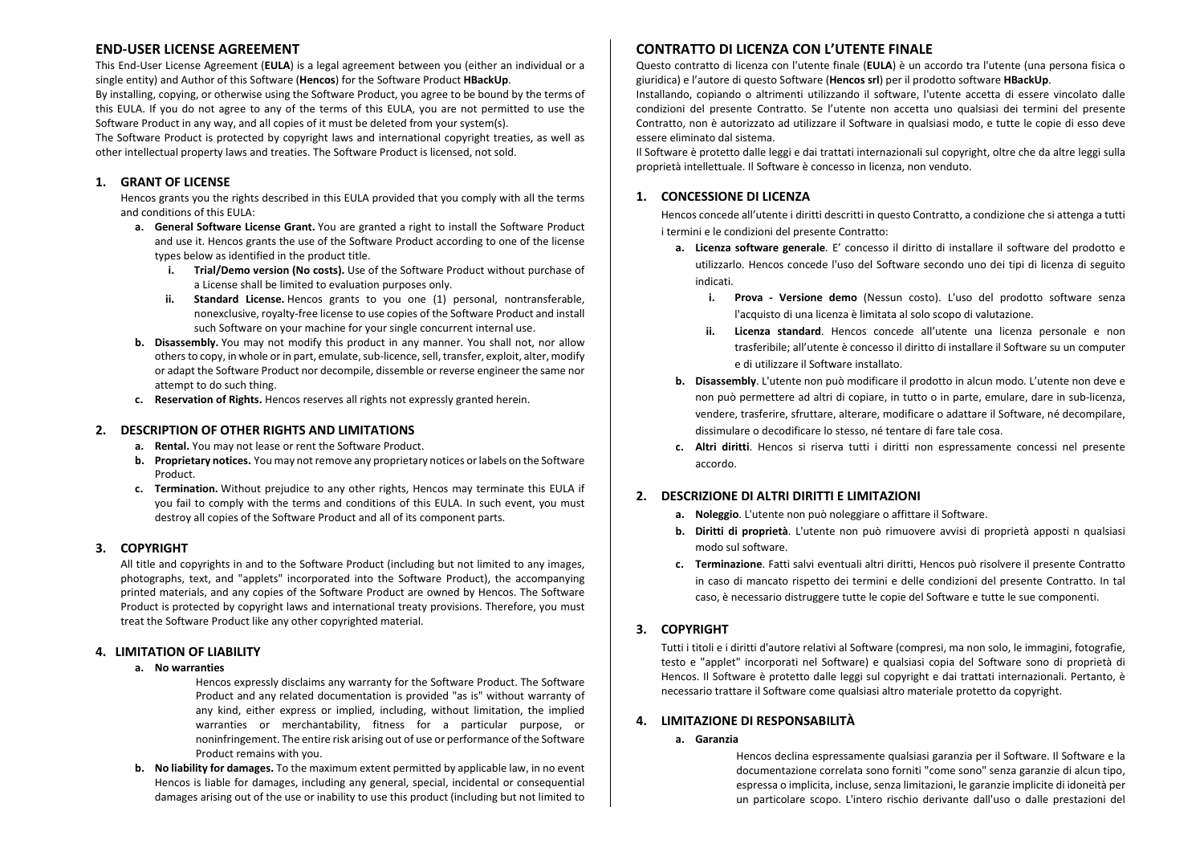# **END-USER LICENSE AGREEMENT**

This End‐User License Agreement (**EULA**) is <sup>a</sup> legal agreement between you (either an individual or <sup>a</sup> single entity) and Author of this Software (**Hencos**) for the Software Product **HBackUp**.

By installing, copying, or otherwise using the Software Product, you agree to be bound by the terms of this EULA. If you do not agree to any of the terms of this EULA, you are not permitted to use the Software Product in any way, and all copies of it must be deleted from your system(s).

The Software Product is protected by copyright laws and international copyright treaties, as well as other intellectual property laws and treaties. The Software Product is licensed, not sold.

## **1. GRANT OF LICENSE**

Hencos grants you the rights described in this EULA provided that you comply with all the terms and conditions of this EULA:

- **a. General Software License Grant.** You are granted <sup>a</sup> right to install the Software Product and use it. Hencos grants the use of the Software Product according to one of the license types below as identified in the product title.
	- **i. Trial/Demo version (No costs).** Use of the Software Product without purchase of a License shall be limited to evaluation purposes only.
	- **ii. Standard License.** Hencos grants to you one (1) personal, nontransferable, nonexclusive, royalty‐free license to use copies of the Software Product and install such Software on your machine for your single concurrent internal use.
- **b. Disassembly.** You may not modify this product in any manner. You shall not, nor allow others to copy, in whole or in part, emulate, sub-licence, sell, transfer, exploit, alter, modify or adapt the Software Product nor decompile, dissemble or reverse engineer the same nor attempt to do such thing.
- **c. Reservation of Rights.** Hencos reserves all rights not expressly granted herein.

## **2. DESCRIPTION OF OTHER RIGHTS AND LIMITATIONS**

- **a. Rental.** You may not lease or rent the Software Product.
- **b.** Proprietary notices. You may not remove any proprietary notices or labels on the Software Product.
- **c. Termination.** Without prejudice to any other rights, Hencos may terminate this EULA if you fail to comply with the terms and conditions of this EULA. In such event, you must destroy all copies of the Software Product and all of its component parts.

## **3. COPYRIGHT**

All title and copyrights in and to the Software Product (including but not limited to any images, photographs, text, and "applets" incorporated into the Software Product), the accompanying printed materials, and any copies of the Software Product are owned by Hencos. The Software Product is protected by copyright laws and international treaty provisions. Therefore, you must treat the Software Product like any other copyrighted material.

## **4. LIMITATION OF LIABILITY**

#### **a. No warranties**

Hencos expressly disclaims any warranty for the Software Product. The Software Product and any related documentation is provided "as is" without warranty of any kind, either express or implied, including, without limitation, the implied warranties or merchantability, fitness for <sup>a</sup> particular purpose, or noninfringement. The entire risk arising out of use or performance of the Software Product remains with you.

**b. No liability for damages.** To the maximum extent permitted by applicable law, in no event Hencos is liable for damages, including any general, special, incidental or consequential damages arising out of the use or inability to use this product (including but not limited to

# **CONTRATTO DI LICENZA CON L'UTENTE FINALE**

Questo contratto di licenza con l'utente finale (**EULA**) è un accordo tra l'utente (una persona fisica <sup>o</sup> giuridica) <sup>e</sup> l'autore di questo Software (**Hencos srl**) per il prodotto software **HBackUp**.

Installando, copiando <sup>o</sup> altrimenti utilizzando il software, l'utente accetta di essere vincolato dalle condizioni del presente Contratto. Se l'utente non accetta uno qualsiasi dei termini del presente Contratto, non è autorizzato ad utilizzare il Software in qualsiasi modo, <sup>e</sup> tutte le copie di esso deve essere eliminato dal sistema.

Il Software è protetto dalle leggi <sup>e</sup> dai trattati internazionali sul copyright, oltre che da altre leggi sulla proprietà intellettuale. Il Software è concesso in licenza, non venduto.

#### **1. CONCESSIONE DI LICENZA**

Hencos concede all'utente i diritti descritti in questo Contratto, <sup>a</sup> condizione che si attenga <sup>a</sup> tutti itermini e le condizioni del presente Contratto:

- **a. Licenza software generale**. E' concesso il diritto di installare il software del prodotto <sup>e</sup> utilizzarlo. Hencos concede l'uso del Software secondo uno dei tipi di licenza di seguito indicati.
	- **i. Prova Versione demo** (Nessun costo). L'uso del prodotto software senza l'acquisto di una licenza è limitata al solo scopo di valutazione.
	- **ii. Licenza standard**. Hencos concede all'utente una licenza personale <sup>e</sup> non trasferibile; all'utente è concesso il diritto di installare il Software su un computer e di utilizzare il Software installato.
- **b. Disassembly**. L'utente non può modificare il prodotto in alcun modo. L'utente non deve <sup>e</sup> non può permettere ad altri di copiare, in tutto <sup>o</sup> in parte, emulare, dare in sub‐licenza, vendere, trasferire, sfruttare, alterare, modificare <sup>o</sup> adattare il Software, né decompilare, dissimulare o decodificare lo stesso, né tentare di fare tale cosa.
- **c. Altri diritti**. Hencos si riserva tutti i diritti non espressamente concessi nel presente accordo.

## **2. DESCRIZIONE DI ALTRI DIRITTI E LIMITAZIONI**

- **a. Noleggio**. L'utente non può noleggiare <sup>o</sup> affittare il Software.
- **b. Diritti di proprietà**. L'utente non può rimuovere avvisi di proprietà apposti <sup>n</sup> qualsiasi modo sul software.
- **c. Terminazione**. Fatti salvi eventuali altri diritti, Hencos può risolvere il presente Contratto in caso di mancato rispetto dei termini <sup>e</sup> delle condizioni del presente Contratto. In tal caso, è necessario distruggere tutte le copie del Software <sup>e</sup> tutte le sue componenti.

## **3. COPYRIGHT**

Tutti i titoli <sup>e</sup> i diritti d'autore relativi al Software (compresi, ma non solo, le immagini, fotografie, testo <sup>e</sup> "applet" incorporati nel Software) <sup>e</sup> qualsiasi copia del Software sono di proprietà di Hencos. Il Software è protetto dalle leggi sul copyright <sup>e</sup> dai trattati internazionali. Pertanto, è necessario trattare il Software come qualsiasi altro materiale protetto da copyright.

#### **4.LIMITAZIONE DI RESPONSABILITÀ**

**a. Garanzia**

Hencos declina espressamente qualsiasi garanzia per il Software. Il Software <sup>e</sup> la documentazione correlata sono forniti "come sono" senza garanzie di alcun tipo, espressa o implicita, incluse, senza limitazioni, le garanzie implicite di idoneità per un particolare scopo. L'intero rischio derivante dall'uso <sup>o</sup> dalle prestazioni del